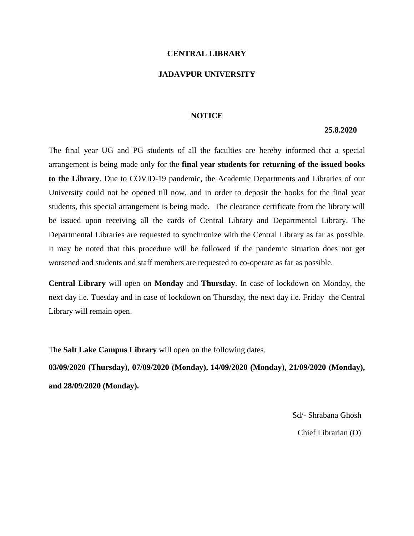### **CENTRAL LIBRARY**

## **JADAVPUR UNIVERSITY**

#### **NOTICE**

#### **25.8.2020**

The final year UG and PG students of all the faculties are hereby informed that a special arrangement is being made only for the **final year students for returning of the issued books to the Library**. Due to COVID-19 pandemic, the Academic Departments and Libraries of our University could not be opened till now, and in order to deposit the books for the final year students, this special arrangement is being made. The clearance certificate from the library will be issued upon receiving all the cards of Central Library and Departmental Library. The Departmental Libraries are requested to synchronize with the Central Library as far as possible. It may be noted that this procedure will be followed if the pandemic situation does not get worsened and students and staff members are requested to co-operate as far as possible.

**Central Library** will open on **Monday** and **Thursday**. In case of lockdown on Monday, the next day i.e. Tuesday and in case of lockdown on Thursday, the next day i.e. Friday the Central Library will remain open.

The **Salt Lake Campus Library** will open on the following dates.

**03/09/2020 (Thursday), 07/09/2020 (Monday), 14/09/2020 (Monday), 21/09/2020 (Monday), and 28/09/2020 (Monday).**

> Sd/- Shrabana Ghosh Chief Librarian (O)